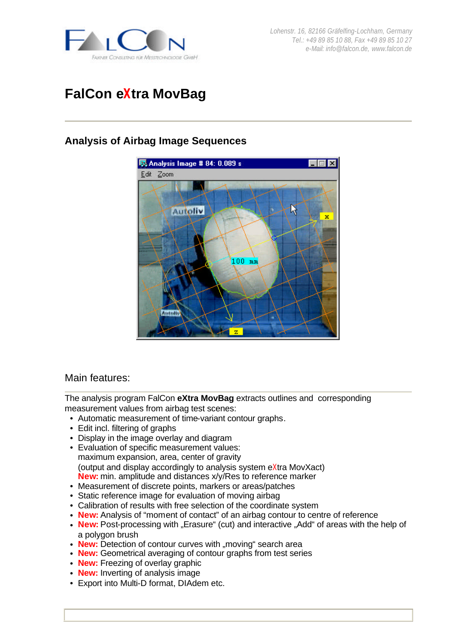

*Lohenstr. 16, 82166 Gräfelfing-Lochham, Germany Tel.: +49 89 85 10 88, Fax +49 89 85 10 27 e-Mail: info@falcon.de, www.falcon.de*

# **FalCon eXtra MovBag**

## **Analysis of Airbag Image Sequences**



## Main features:

The analysis program FalCon **eXtra MovBag** extracts outlines and corresponding measurement values from airbag test scenes:

- Automatic measurement of time-variant contour graphs.
- Edit incl. filtering of graphs
- Display in the image overlay and diagram
- Evaluation of specific measurement values: maximum expansion, area, center of gravity (output and display accordingly to analysis system eXtra MovXact) **New:** min. amplitude and distances x/y/Res to reference marker
- Measurement of discrete points, markers or areas/patches
- Static reference image for evaluation of moving airbag
- Calibration of results with free selection of the coordinate system
- **New:** Analysis of "moment of contact" of an airbag contour to centre of reference
- New: Post-processing with "Erasure" (cut) and interactive "Add" of areas with the help of a polygon brush
- **New:** Detection of contour curves with "moving" search area
- **New:** Geometrical averaging of contour graphs from test series
- **New:** Freezing of overlay graphic
- **New:** Inverting of analysis image
- Export into Multi-D format, DIAdem etc.